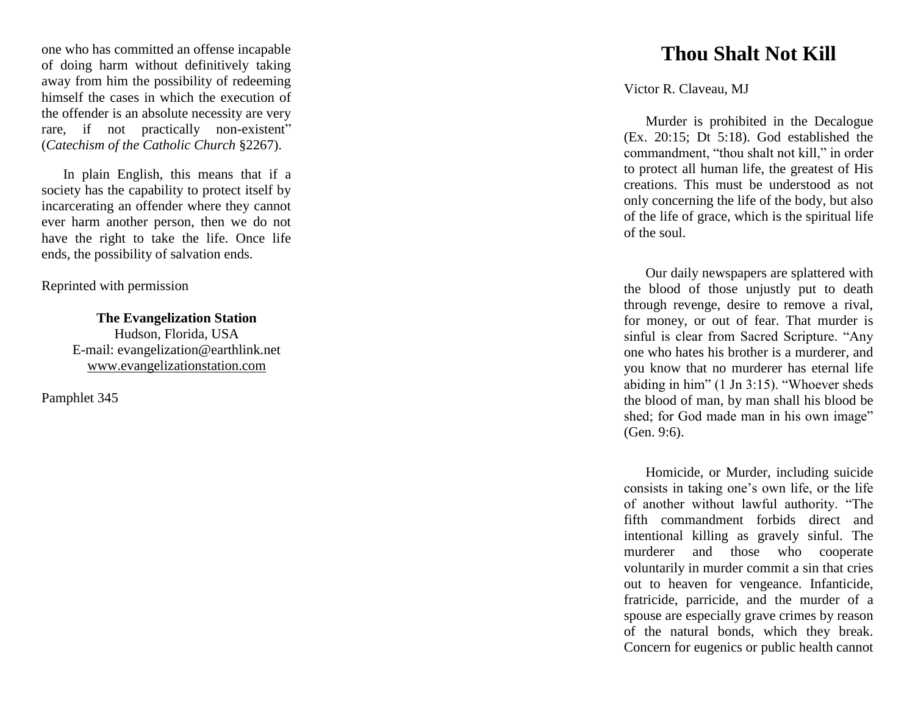one who has committed an offense incapable of doing harm without definitively taking away from him the possibility of redeeming himself the cases in which the execution of the offender is an absolute necessity are very rare, if not practically non -existent" (*Catechism of the Catholic Church* §2267).

In plain English, this means that if a society has the capability to protect itself by incarcerating an offender where they cannot ever harm another person, then we do not have the right to take the life. Once life ends, the possibility of salvation ends.

Reprinted with permission

**The Evangelization Station**  Hudson, Florida, USA E -mail: evangelization@earthlink.net [www.evangelizationstation.com](http://www.pjpiisoe.org/)

Pamphlet 34 5

## **Thou Shalt Not Kill**

Victor R. Claveau, MJ

Murder is prohibited in the Decalogue (Ex. 20:15; Dt 5:18). God established the commandment, "thou shalt not kill," in order to protect all human life, the greatest of His creations. This must be understood as not only concerning the life of the body, but also of the life of grace, which is the spiritual life of the soul.

Our daily newspapers are splattered with the blood of those unjustly put to death through revenge, desire to remove a rival, for money, or out of fear. That murder is sinful is clear from Sacred Scripture. "Any one who hates his brother is a murderer, and you know that no murderer has eternal life abiding in him" (1 Jn 3:15). "Whoever sheds the blood of man, by man shall his blood be shed; for God made man in his own image" (Gen. 9:6).

Homicide, or Murder, including suicide consists in taking one's own life, or the life of another without lawful authority. "The fifth commandment forbids direct and intentional killing as gravely sinful. The murderer and those who cooperate voluntarily in murder commit a sin that cries out to heaven for vengeance. Infanticide, fratricide, parricide, and the murder of a spouse are especially grave crimes by reason of the natural bonds, which they break. Concern for eugenics or public health cannot